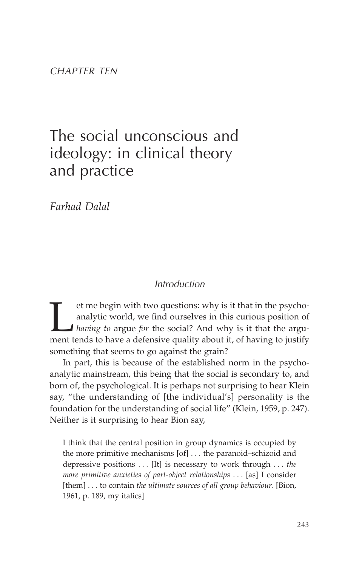# The social unconscious and ideology: in clinical theory and practice

*Farhad Dalal*

## *Introduction*

Eure begin with two questions: why is it that in the psycho-<br>analytic world, we find ourselves in this curious position of<br>having to argue for the social? And why is it that the argu-<br>ment tends to have a defensive quality analytic world, we find ourselves in this curious position of *having to* argue *for* the social? And why is it that the argument tends to have a defensive quality about it, of having to justify something that seems to go against the grain?

In part, this is because of the established norm in the psychoanalytic mainstream, this being that the social is secondary to, and born of, the psychological. It is perhaps not surprising to hear Klein say, "the understanding of [the individual's] personality is the foundation for the understanding of social life" (Klein, 1959, p. 247). Neither is it surprising to hear Bion say,

I think that the central position in group dynamics is occupied by the more primitive mechanisms [of] . . . the paranoid–schizoid and depressive positions . . . [It] is necessary to work through . . . *the more primitive anxieties of part-object relationships* . . . [as] I consider [them] . . . to contain *the ultimate sources of all group behaviour*. [Bion, 1961, p. 189, my italics]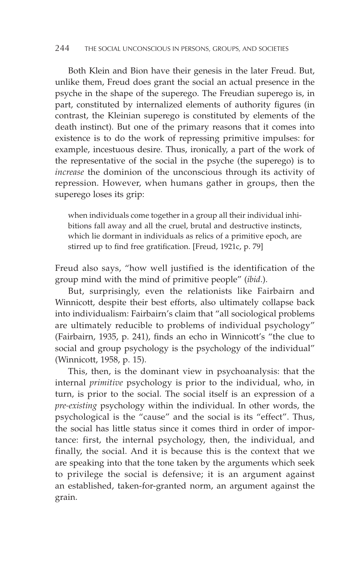Both Klein and Bion have their genesis in the later Freud. But, unlike them, Freud does grant the social an actual presence in the psyche in the shape of the superego. The Freudian superego is, in part, constituted by internalized elements of authority figures (in contrast, the Kleinian superego is constituted by elements of the death instinct). But one of the primary reasons that it comes into existence is to do the work of repressing primitive impulses: for example, incestuous desire. Thus, ironically, a part of the work of the representative of the social in the psyche (the superego) is to *increase* the dominion of the unconscious through its activity of repression. However, when humans gather in groups, then the superego loses its grip:

when individuals come together in a group all their individual inhibitions fall away and all the cruel, brutal and destructive instincts, which lie dormant in individuals as relics of a primitive epoch, are stirred up to find free gratification. [Freud, 1921c, p. 79]

Freud also says, "how well justified is the identification of the group mind with the mind of primitive people" (*ibid*.).

But, surprisingly, even the relationists like Fairbairn and Winnicott, despite their best efforts, also ultimately collapse back into individualism: Fairbairn's claim that "all sociological problems are ultimately reducible to problems of individual psychology" (Fairbairn, 1935, p. 241), finds an echo in Winnicott's "the clue to social and group psychology is the psychology of the individual" (Winnicott, 1958, p. 15).

This, then, is the dominant view in psychoanalysis: that the internal *primitive* psychology is prior to the individual, who, in turn, is prior to the social. The social itself is an expression of a *pre-existing* psychology within the individual. In other words, the psychological is the "cause" and the social is its "effect". Thus, the social has little status since it comes third in order of importance: first, the internal psychology, then, the individual, and finally, the social. And it is because this is the context that we are speaking into that the tone taken by the arguments which seek to privilege the social is defensive; it is an argument against an established, taken-for-granted norm, an argument against the grain.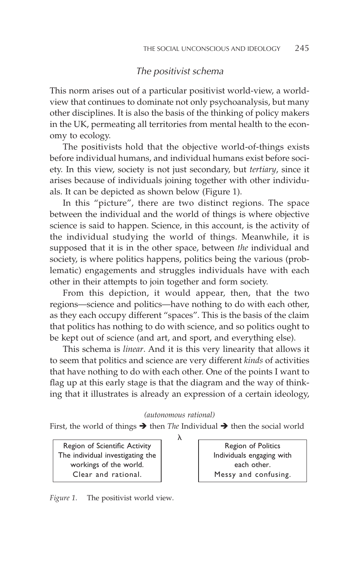## *The positivist schema*

This norm arises out of a particular positivist world-view, a worldview that continues to dominate not only psychoanalysis, but many other disciplines. It is also the basis of the thinking of policy makers in the UK, permeating all territories from mental health to the economy to ecology.

The positivists hold that the objective world-of-things exists before individual humans, and individual humans exist before society. In this view, society is not just secondary, but *tertiary*, since it arises because of individuals joining together with other individuals. It can be depicted as shown below (Figure 1).

In this "picture", there are two distinct regions. The space between the individual and the world of things is where objective science is said to happen. Science, in this account, is the activity of the individual studying the world of things. Meanwhile, it is supposed that it is in the other space, between *the* individual and society, is where politics happens, politics being the various (problematic) engagements and struggles individuals have with each other in their attempts to join together and form society.

From this depiction, it would appear, then, that the two regions—science and politics—have nothing to do with each other, as they each occupy different "spaces". This is the basis of the claim that politics has nothing to do with science, and so politics ought to be kept out of science (and art, and sport, and everything else).

This schema is *linear*. And it is this very linearity that allows it to seem that politics and science are very different *kinds* of activities that have nothing to do with each other. One of the points I want to flag up at this early stage is that the diagram and the way of thinking that it illustrates is already an expression of a certain ideology,

#### *(autonomous rational)*

First, the world of things  $\rightarrow$  then *The* Individual  $\rightarrow$  then the social world  $\lambda$ 

Region of Scientific Activity The individual investigating the workings of the world. Clear and rational.

Region of Politics Individuals engaging with each other. Messy and confusing.

*Figure 1*. The positivist world view.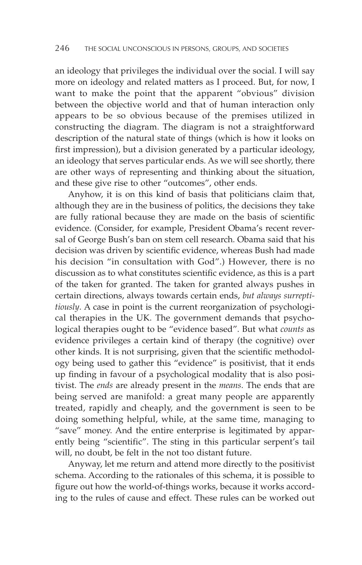an ideology that privileges the individual over the social. I will say more on ideology and related matters as I proceed. But, for now, I want to make the point that the apparent "obvious" division between the objective world and that of human interaction only appears to be so obvious because of the premises utilized in constructing the diagram. The diagram is not a straightforward description of the natural state of things (which is how it looks on first impression), but a division generated by a particular ideology, an ideology that serves particular ends. As we will see shortly, there are other ways of representing and thinking about the situation, and these give rise to other "outcomes", other ends.

Anyhow, it is on this kind of basis that politicians claim that, although they are in the business of politics, the decisions they take are fully rational because they are made on the basis of scientific evidence. (Consider, for example, President Obama's recent reversal of George Bush's ban on stem cell research. Obama said that his decision was driven by scientific evidence, whereas Bush had made his decision "in consultation with God".) However, there is no discussion as to what constitutes scientific evidence, as this is a part of the taken for granted. The taken for granted always pushes in certain directions, always towards certain ends, *but always surreptitiously*. A case in point is the current reorganization of psychological therapies in the UK. The government demands that psychological therapies ought to be "evidence based". But what *counts* as evidence privileges a certain kind of therapy (the cognitive) over other kinds. It is not surprising, given that the scientific methodology being used to gather this "evidence" is positivist, that it ends up finding in favour of a psychological modality that is also positivist. The *ends* are already present in the *means*. The ends that are being served are manifold: a great many people are apparently treated, rapidly and cheaply, and the government is seen to be doing something helpful, while, at the same time, managing to "save" money. And the entire enterprise is legitimated by apparently being "scientific". The sting in this particular serpent's tail will, no doubt, be felt in the not too distant future.

Anyway, let me return and attend more directly to the positivist schema. According to the rationales of this schema, it is possible to figure out how the world-of-things works, because it works according to the rules of cause and effect. These rules can be worked out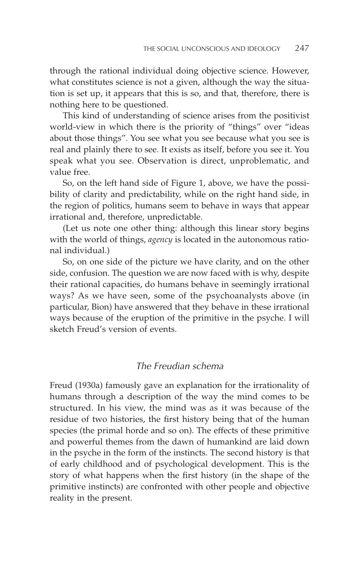through the rational individual doing objective science. However, what constitutes science is not a given, although the way the situation is set up, it appears that this is so, and that, therefore, there is nothing here to be questioned.

This kind of understanding of science arises from the positivist world-view in which there is the priority of "things" over "ideas about those things". You see what you see because what you see is real and plainly there to see. It exists as itself, before you see it. You speak what you see. Observation is direct, unproblematic, and value free.

So, on the left hand side of Figure 1, above, we have the possibility of clarity and predictability, while on the right hand side, in the region of politics, humans seem to behave in ways that appear irrational and, therefore, unpredictable.

(Let us note one other thing: although this linear story begins with the world of things, *agency* is located in the autonomous rational individual.)

So, on one side of the picture we have clarity, and on the other side, confusion. The question we are now faced with is why, despite their rational capacities, do humans behave in seemingly irrational ways? As we have seen, some of the psychoanalysts above (in particular, Bion) have answered that they behave in these irrational ways because of the eruption of the primitive in the psyche. I will sketch Freud's version of events.

## *The Freudian schema*

Freud (1930a) famously gave an explanation for the irrationality of humans through a description of the way the mind comes to be structured. In his view, the mind was as it was because of the residue of two histories, the first history being that of the human species (the primal horde and so on). The effects of these primitive and powerful themes from the dawn of humankind are laid down in the psyche in the form of the instincts. The second history is that of early childhood and of psychological development. This is the story of what happens when the first history (in the shape of the primitive instincts) are confronted with other people and objective reality in the present.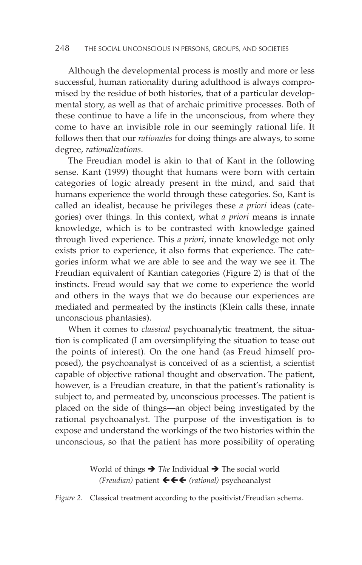Although the developmental process is mostly and more or less successful, human rationality during adulthood is always compromised by the residue of both histories, that of a particular developmental story, as well as that of archaic primitive processes. Both of these continue to have a life in the unconscious, from where they come to have an invisible role in our seemingly rational life. It follows then that our *rationales* for doing things are always, to some degree, *rationalizations*.

The Freudian model is akin to that of Kant in the following sense. Kant (1999) thought that humans were born with certain categories of logic already present in the mind, and said that humans experience the world through these categories. So, Kant is called an idealist, because he privileges these *a priori* ideas (categories) over things. In this context, what *a priori* means is innate knowledge, which is to be contrasted with knowledge gained through lived experience. This *a priori*, innate knowledge not only exists prior to experience, it also forms that experience. The categories inform what we are able to see and the way we see it. The Freudian equivalent of Kantian categories (Figure 2) is that of the instincts. Freud would say that we come to experience the world and others in the ways that we do because our experiences are mediated and permeated by the instincts (Klein calls these, innate unconscious phantasies).

When it comes to *classical* psychoanalytic treatment, the situation is complicated (I am oversimplifying the situation to tease out the points of interest). On the one hand (as Freud himself proposed), the psychoanalyst is conceived of as a scientist, a scientist capable of objective rational thought and observation. The patient, however, is a Freudian creature, in that the patient's rationality is subject to, and permeated by, unconscious processes. The patient is placed on the side of things—an object being investigated by the rational psychoanalyst. The purpose of the investigation is to expose and understand the workings of the two histories within the unconscious, so that the patient has more possibility of operating

> World of things  $\rightarrow$  *The* Individual  $\rightarrow$  The social world (Freudian) patient ←←← (rational) psychoanalyst

*Figure 2*. Classical treatment according to the positivist/Freudian schema.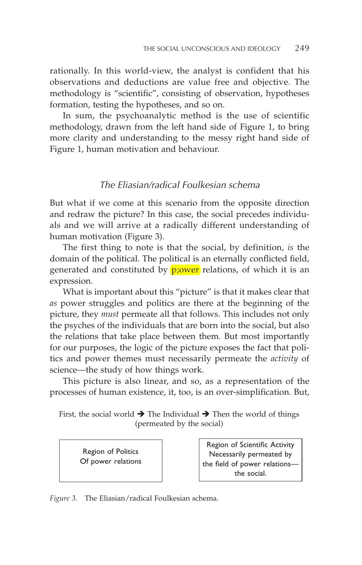rationally. In this world-view, the analyst is confident that his observations and deductions are value free and objective. The methodology is "scientific", consisting of observation, hypotheses formation, testing the hypotheses, and so on.

In sum, the psychoanalytic method is the use of scientific methodology, drawn from the left hand side of Figure 1, to bring more clarity and understanding to the messy right hand side of Figure 1, human motivation and behaviour.

## *The Eliasian/radical Foulkesian schema*

But what if we come at this scenario from the opposite direction and redraw the picture? In this case, the social precedes individuals and we will arrive at a radically different understanding of human motivation (Figure 3).

The first thing to note is that the social, by definition, *is* the domain of the political. The political is an eternally conflicted field, generated and constituted by **p**; ower relations, of which it is an expression.

What is important about this "picture" is that it makes clear that *as* power struggles and politics are there at the beginning of the picture, they *must* permeate all that follows. This includes not only the psyches of the individuals that are born into the social, but also the relations that take place between them. But most importantly for our purposes, the logic of the picture exposes the fact that politics and power themes must necessarily permeate the *activity* of science—the study of how things work.

This picture is also linear, and so, as a representation of the processes of human existence, it, too, is an over-simplification. But,

First, the social world  $\rightarrow$  The Individual  $\rightarrow$  Then the world of things (permeated by the social)

Region of Politics Of power relations

Region of Scientific Activity Necessarily permeated by the field of power relations the social.

*Figure 3*. The Eliasian/radical Foulkesian schema.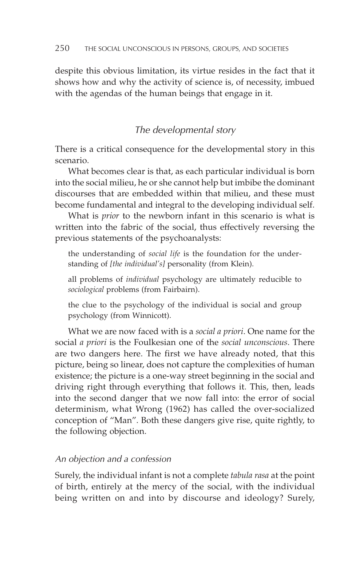despite this obvious limitation, its virtue resides in the fact that it shows how and why the activity of science is, of necessity, imbued with the agendas of the human beings that engage in it.

## *The developmental story*

There is a critical consequence for the developmental story in this scenario.

What becomes clear is that, as each particular individual is born into the social milieu, he or she cannot help but imbibe the dominant discourses that are embedded within that milieu, and these must become fundamental and integral to the developing individual self.

What is *prior* to the newborn infant in this scenario is what is written into the fabric of the social, thus effectively reversing the previous statements of the psychoanalysts:

the understanding of *social life* is the foundation for the understanding of *[the individual's]* personality (from Klein).

all problems of *individual* psychology are ultimately reducible to *sociological* problems (from Fairbairn).

the clue to the psychology of the individual is social and group psychology (from Winnicott).

What we are now faced with is a *social a priori*. One name for the social *a priori* is the Foulkesian one of the *social unconscious*. There are two dangers here. The first we have already noted, that this picture, being so linear, does not capture the complexities of human existence; the picture is a one-way street beginning in the social and driving right through everything that follows it. This, then, leads into the second danger that we now fall into: the error of social determinism, what Wrong (1962) has called the over-socialized conception of "Man". Both these dangers give rise, quite rightly, to the following objection.

## *An objection and a confession*

Surely, the individual infant is not a complete *tabula rasa* at the point of birth, entirely at the mercy of the social, with the individual being written on and into by discourse and ideology? Surely,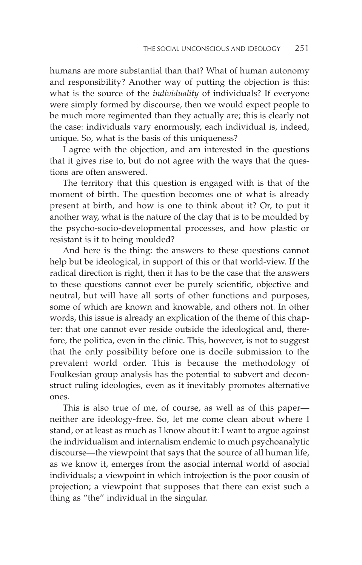humans are more substantial than that? What of human autonomy and responsibility? Another way of putting the objection is this: what is the source of the *individuality* of individuals? If everyone were simply formed by discourse, then we would expect people to be much more regimented than they actually are; this is clearly not the case: individuals vary enormously, each individual is, indeed, unique. So, what is the basis of this uniqueness?

I agree with the objection, and am interested in the questions that it gives rise to, but do not agree with the ways that the questions are often answered.

The territory that this question is engaged with is that of the moment of birth. The question becomes one of what is already present at birth, and how is one to think about it? Or, to put it another way, what is the nature of the clay that is to be moulded by the psycho-socio-developmental processes, and how plastic or resistant is it to being moulded?

And here is the thing: the answers to these questions cannot help but be ideological, in support of this or that world-view. If the radical direction is right, then it has to be the case that the answers to these questions cannot ever be purely scientific, objective and neutral, but will have all sorts of other functions and purposes, some of which are known and knowable, and others not. In other words, this issue is already an explication of the theme of this chapter: that one cannot ever reside outside the ideological and, therefore, the politica, even in the clinic. This, however, is not to suggest that the only possibility before one is docile submission to the prevalent world order. This is because the methodology of Foulkesian group analysis has the potential to subvert and deconstruct ruling ideologies, even as it inevitably promotes alternative ones.

This is also true of me, of course, as well as of this paper neither are ideology-free. So, let me come clean about where I stand, or at least as much as I know about it: I want to argue against the individualism and internalism endemic to much psychoanalytic discourse—the viewpoint that says that the source of all human life, as we know it, emerges from the asocial internal world of asocial individuals; a viewpoint in which introjection is the poor cousin of projection; a viewpoint that supposes that there can exist such a thing as "the" individual in the singular.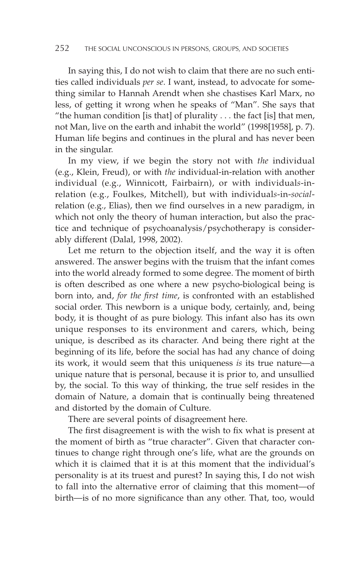In saying this, I do not wish to claim that there are no such entities called individuals *per se*. I want, instead, to advocate for something similar to Hannah Arendt when she chastises Karl Marx, no less, of getting it wrong when he speaks of "Man". She says that "the human condition [is that] of plurality  $\dots$  the fact [is] that men, not Man, live on the earth and inhabit the world" (1998[1958], p. 7). Human life begins and continues in the plural and has never been in the singular.

In my view, if we begin the story not with *the* individual (e.g., Klein, Freud), or with *the* individual-in-relation with another individual (e.g., Winnicott, Fairbairn), or with individual*s*-inrelation (e.g., Foulkes, Mitchell), but with individual*s*-in-*social*relation (e.g., Elias), then we find ourselves in a new paradigm, in which not only the theory of human interaction, but also the practice and technique of psychoanalysis/psychotherapy is considerably different (Dalal, 1998, 2002).

Let me return to the objection itself, and the way it is often answered. The answer begins with the truism that the infant comes into the world already formed to some degree. The moment of birth is often described as one where a new psycho-biological being is born into, and, *for the first time*, is confronted with an established social order. This newborn is a unique body, certainly, and, being body, it is thought of as pure biology. This infant also has its own unique responses to its environment and carers, which, being unique, is described as its character. And being there right at the beginning of its life, before the social has had any chance of doing its work, it would seem that this uniqueness *is* its true nature—a unique nature that is personal, because it is prior to, and unsullied by, the social. To this way of thinking, the true self resides in the domain of Nature, a domain that is continually being threatened and distorted by the domain of Culture.

There are several points of disagreement here.

The first disagreement is with the wish to fix what is present at the moment of birth as "true character". Given that character continues to change right through one's life, what are the grounds on which it is claimed that it is at this moment that the individual's personality is at its truest and purest? In saying this, I do not wish to fall into the alternative error of claiming that this moment—of birth—is of no more significance than any other. That, too, would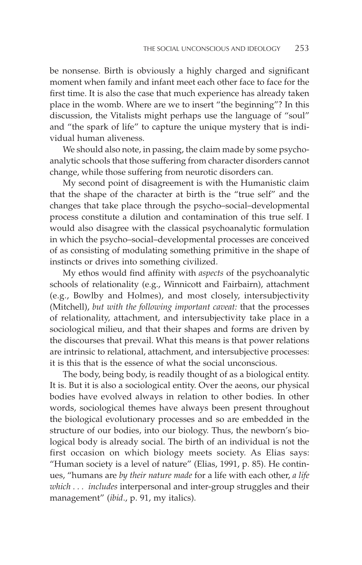be nonsense. Birth is obviously a highly charged and significant moment when family and infant meet each other face to face for the first time. It is also the case that much experience has already taken place in the womb. Where are we to insert "the beginning"? In this discussion, the Vitalists might perhaps use the language of "soul" and "the spark of life" to capture the unique mystery that is individual human aliveness.

We should also note, in passing, the claim made by some psychoanalytic schools that those suffering from character disorders cannot change, while those suffering from neurotic disorders can.

My second point of disagreement is with the Humanistic claim that the shape of the character at birth is the "true self" and the changes that take place through the psycho–social–developmental process constitute a dilution and contamination of this true self. I would also disagree with the classical psychoanalytic formulation in which the psycho–social–developmental processes are conceived of as consisting of modulating something primitive in the shape of instincts or drives into something civilized.

My ethos would find affinity with *aspects* of the psychoanalytic schools of relationality (e.g., Winnicott and Fairbairn), attachment (e.g., Bowlby and Holmes), and most closely, intersubjectivity (Mitchell), *but with the following important caveat:* that the processes of relationality, attachment, and intersubjectivity take place in a sociological milieu, and that their shapes and forms are driven by the discourses that prevail. What this means is that power relations are intrinsic to relational, attachment, and intersubjective processes: it is this that is the essence of what the social unconscious.

The body, being body, is readily thought of as a biological entity. It is. But it is also a sociological entity. Over the aeons, our physical bodies have evolved always in relation to other bodies. In other words, sociological themes have always been present throughout the biological evolutionary processes and so are embedded in the structure of our bodies, into our biology. Thus, the newborn's biological body is already social. The birth of an individual is not the first occasion on which biology meets society. As Elias says: "Human society is a level of nature" (Elias, 1991, p. 85). He continues, "humans are *by their nature made* for a life with each other, *a life which . . . includes* interpersonal and inter-group struggles and their management" (*ibid*., p. 91, my italics).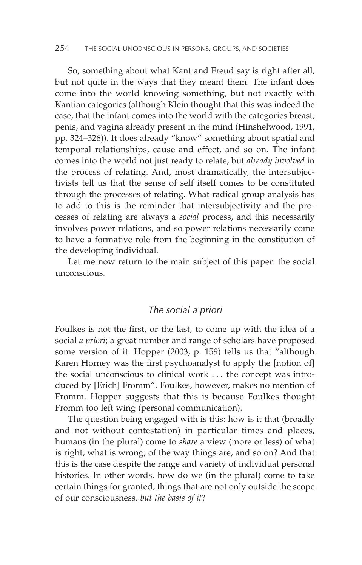So, something about what Kant and Freud say is right after all, but not quite in the ways that they meant them. The infant does come into the world knowing something, but not exactly with Kantian categories (although Klein thought that this was indeed the case, that the infant comes into the world with the categories breast, penis, and vagina already present in the mind (Hinshelwood, 1991, pp. 324–326)). It does already "know" something about spatial and temporal relationships, cause and effect, and so on. The infant comes into the world not just ready to relate, but *already involved* in the process of relating. And, most dramatically, the intersubjectivists tell us that the sense of self itself comes to be constituted through the processes of relating. What radical group analysis has to add to this is the reminder that intersubjectivity and the processes of relating are always a *social* process, and this necessarily involves power relations, and so power relations necessarily come to have a formative role from the beginning in the constitution of the developing individual.

Let me now return to the main subject of this paper: the social unconscious.

## *The social a priori*

Foulkes is not the first, or the last, to come up with the idea of a social *a priori*; a great number and range of scholars have proposed some version of it. Hopper (2003, p. 159) tells us that "although Karen Horney was the first psychoanalyst to apply the [notion of] the social unconscious to clinical work . . . the concept was introduced by [Erich] Fromm". Foulkes, however, makes no mention of Fromm. Hopper suggests that this is because Foulkes thought Fromm too left wing (personal communication).

The question being engaged with is this: how is it that (broadly and not without contestation) in particular times and places, humans (in the plural) come to *share* a view (more or less) of what is right, what is wrong, of the way things are, and so on? And that this is the case despite the range and variety of individual personal histories. In other words, how do we (in the plural) come to take certain things for granted, things that are not only outside the scope of our consciousness, *but the basis of it*?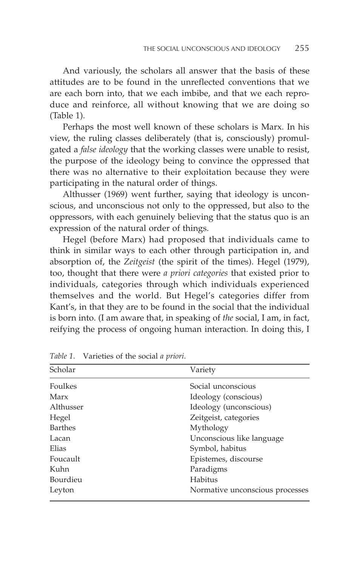And variously, the scholars all answer that the basis of these attitudes are to be found in the unreflected conventions that we are each born into, that we each imbibe, and that we each reproduce and reinforce, all without knowing that we are doing so (Table 1).

Perhaps the most well known of these scholars is Marx. In his view, the ruling classes deliberately (that is, consciously) promulgated a *false ideology* that the working classes were unable to resist, the purpose of the ideology being to convince the oppressed that there was no alternative to their exploitation because they were participating in the natural order of things.

Althusser (1969) went further, saying that ideology is unconscious, and unconscious not only to the oppressed, but also to the oppressors, with each genuinely believing that the status quo is an expression of the natural order of things.

Hegel (before Marx) had proposed that individuals came to think in similar ways to each other through participation in, and absorption of, the *Zeitgeist* (the spirit of the times). Hegel (1979), too, thought that there were *a priori categories* that existed prior to individuals, categories through which individuals experienced themselves and the world. But Hegel's categories differ from Kant's, in that they are to be found in the social that the individual is born into. (I am aware that, in speaking of *the* social, I am, in fact, reifying the process of ongoing human interaction. In doing this, I

| Scholar        | Variety                         |
|----------------|---------------------------------|
| Foulkes        | Social unconscious              |
| Marx           | Ideology (conscious)            |
| Althusser      | Ideology (unconscious)          |
| Hegel          | Zeitgeist, categories           |
| <b>Barthes</b> | Mythology                       |
| Lacan          | Unconscious like language       |
| Elias          | Symbol, habitus                 |
| Foucault       | Epistemes, discourse            |
| Kuhn           | Paradigms                       |
| Bourdieu       | Habitus                         |
| Leyton         | Normative unconscious processes |

*Table 1*. Varieties of the social *a priori*.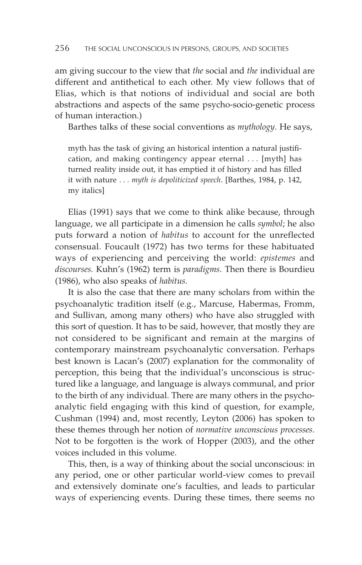am giving succour to the view that *the* social and *the* individual are different and antithetical to each other. My view follows that of Elias, which is that notions of individual and social are both abstractions and aspects of the same psycho-socio-genetic process of human interaction.)

Barthes talks of these social conventions as *mythology*. He says,

myth has the task of giving an historical intention a natural justification, and making contingency appear eternal . . . [myth] has turned reality inside out, it has emptied it of history and has filled it with nature . . . *myth is depoliticized speech*. [Barthes, 1984, p. 142, my italics]

Elias (1991) says that we come to think alike because, through language, we all participate in a dimension he calls *symbol*; he also puts forward a notion of *habitus* to account for the unreflected consensual. Foucault (1972) has two terms for these habituated ways of experiencing and perceiving the world: *epistemes* and *discourses.* Kuhn's (1962) term is *paradigms*. Then there is Bourdieu (1986), who also speaks of *habitus.*

It is also the case that there are many scholars from within the psychoanalytic tradition itself (e.g., Marcuse, Habermas, Fromm, and Sullivan, among many others) who have also struggled with this sort of question. It has to be said, however, that mostly they are not considered to be significant and remain at the margins of contemporary mainstream psychoanalytic conversation. Perhaps best known is Lacan's (2007) explanation for the commonality of perception, this being that the individual's unconscious is structured like a language, and language is always communal, and prior to the birth of any individual. There are many others in the psychoanalytic field engaging with this kind of question, for example, Cushman (1994) and, most recently, Leyton (2006) has spoken to these themes through her notion of *normative unconscious processes*. Not to be forgotten is the work of Hopper (2003), and the other voices included in this volume.

This, then, is a way of thinking about the social unconscious: in any period, one or other particular world-view comes to prevail and extensively dominate one's faculties, and leads to particular ways of experiencing events. During these times, there seems no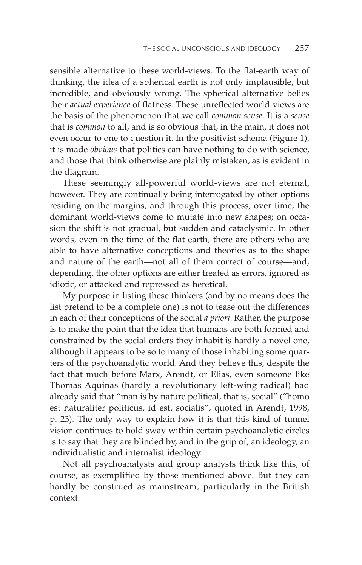sensible alternative to these world-views. To the flat-earth way of thinking, the idea of a spherical earth is not only implausible, but incredible, and obviously wrong. The spherical alternative belies their *actual experience* of flatness. These unreflected world-views are the basis of the phenomenon that we call *common sense*. It is a *sense* that is *common* to all, and is so obvious that, in the main, it does not even occur to one to question it. In the positivist schema (Figure 1), it is made *obvious* that politics can have nothing to do with science, and those that think otherwise are plainly mistaken, as is evident in the diagram.

These seemingly all-powerful world-views are not eternal, however. They are continually being interrogated by other options residing on the margins, and through this process, over time, the dominant world-views come to mutate into new shapes; on occasion the shift is not gradual, but sudden and cataclysmic. In other words, even in the time of the flat earth, there are others who are able to have alternative conceptions and theories as to the shape and nature of the earth—not all of them correct of course—and, depending, the other options are either treated as errors, ignored as idiotic, or attacked and repressed as heretical.

My purpose in listing these thinkers (and by no means does the list pretend to be a complete one) is not to tease out the differences in each of their conceptions of the social *a priori*. Rather, the purpose is to make the point that the idea that humans are both formed and constrained by the social orders they inhabit is hardly a novel one, although it appears to be so to many of those inhabiting some quarters of the psychoanalytic world. And they believe this, despite the fact that much before Marx, Arendt, or Elias, even someone like Thomas Aquinas (hardly a revolutionary left-wing radical) had already said that "man is by nature political, that is, social" ("homo est naturaliter politicus, id est, socialis", quoted in Arendt, 1998, p. 23). The only way to explain how it is that this kind of tunnel vision continues to hold sway within certain psychoanalytic circles is to say that they are blinded by, and in the grip of, an ideology, an individualistic and internalist ideology.

Not all psychoanalysts and group analysts think like this, of course, as exemplified by those mentioned above. But they can hardly be construed as mainstream, particularly in the British context.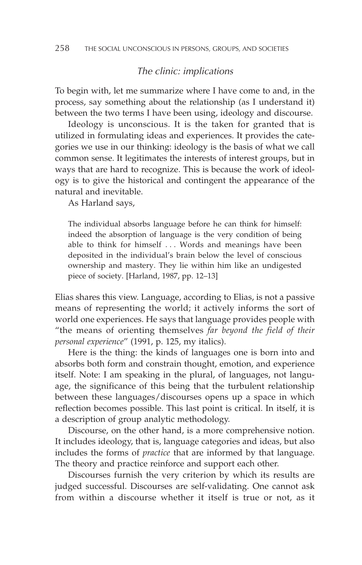## *The clinic: implications*

To begin with, let me summarize where I have come to and, in the process, say something about the relationship (as I understand it) between the two terms I have been using, ideology and discourse.

Ideology is unconscious. It is the taken for granted that is utilized in formulating ideas and experiences. It provides the categories we use in our thinking: ideology is the basis of what we call common sense. It legitimates the interests of interest groups, but in ways that are hard to recognize. This is because the work of ideology is to give the historical and contingent the appearance of the natural and inevitable.

As Harland says,

The individual absorbs language before he can think for himself: indeed the absorption of language is the very condition of being able to think for himself . . . Words and meanings have been deposited in the individual's brain below the level of conscious ownership and mastery. They lie within him like an undigested piece of society. [Harland, 1987, pp. 12–13]

Elias shares this view. Language, according to Elias, is not a passive means of representing the world; it actively informs the sort of world one experiences. He says that language provides people with "the means of orienting themselves *far beyond the field of their personal experience*" (1991, p. 125, my italics).

Here is the thing: the kinds of languages one is born into and absorbs both form and constrain thought, emotion, and experience itself. Note: I am speaking in the plural, of languages, not language, the significance of this being that the turbulent relationship between these languages/discourses opens up a space in which reflection becomes possible. This last point is critical. In itself, it is a description of group analytic methodology.

Discourse, on the other hand, is a more comprehensive notion. It includes ideology, that is, language categories and ideas, but also includes the forms of *practice* that are informed by that language. The theory and practice reinforce and support each other.

Discourses furnish the very criterion by which its results are judged successful. Discourses are self-validating. One cannot ask from within a discourse whether it itself is true or not, as it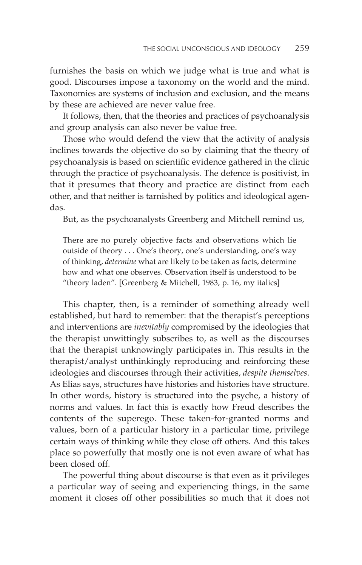furnishes the basis on which we judge what is true and what is good. Discourses impose a taxonomy on the world and the mind. Taxonomies are systems of inclusion and exclusion, and the means by these are achieved are never value free.

It follows, then, that the theories and practices of psychoanalysis and group analysis can also never be value free.

Those who would defend the view that the activity of analysis inclines towards the objective do so by claiming that the theory of psychoanalysis is based on scientific evidence gathered in the clinic through the practice of psychoanalysis. The defence is positivist, in that it presumes that theory and practice are distinct from each other, and that neither is tarnished by politics and ideological agendas.

But, as the psychoanalysts Greenberg and Mitchell remind us,

There are no purely objective facts and observations which lie outside of theory . . . One's theory, one's understanding, one's way of thinking, *determine* what are likely to be taken as facts, determine how and what one observes. Observation itself is understood to be "theory laden". [Greenberg & Mitchell, 1983, p. 16, my italics]

This chapter, then, is a reminder of something already well established, but hard to remember: that the therapist's perceptions and interventions are *inevitably* compromised by the ideologies that the therapist unwittingly subscribes to, as well as the discourses that the therapist unknowingly participates in. This results in the therapist/analyst unthinkingly reproducing and reinforcing these ideologies and discourses through their activities, *despite themselves*. As Elias says, structures have histories and histories have structure. In other words, history is structured into the psyche, a history of norms and values. In fact this is exactly how Freud describes the contents of the superego. These taken-for-granted norms and values, born of a particular history in a particular time, privilege certain ways of thinking while they close off others. And this takes place so powerfully that mostly one is not even aware of what has been closed off.

The powerful thing about discourse is that even as it privileges a particular way of seeing and experiencing things, in the same moment it closes off other possibilities so much that it does not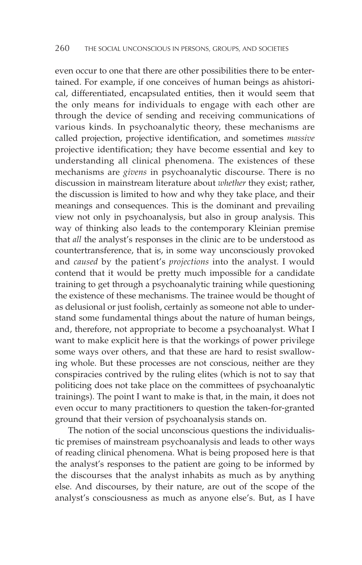even occur to one that there are other possibilities there to be entertained. For example, if one conceives of human beings as ahistorical, differentiated, encapsulated entities, then it would seem that the only means for individuals to engage with each other are through the device of sending and receiving communications of various kinds. In psychoanalytic theory, these mechanisms are called projection, projective identification, and sometimes *massive* projective identification; they have become essential and key to understanding all clinical phenomena. The existences of these mechanisms are *givens* in psychoanalytic discourse. There is no discussion in mainstream literature about *whether* they exist; rather, the discussion is limited to how and why they take place, and their meanings and consequences. This is the dominant and prevailing view not only in psychoanalysis, but also in group analysis. This way of thinking also leads to the contemporary Kleinian premise that *all* the analyst's responses in the clinic are to be understood as countertransference, that is, in some way unconsciously provoked and *caused* by the patient's *projections* into the analyst. I would contend that it would be pretty much impossible for a candidate training to get through a psychoanalytic training while questioning the existence of these mechanisms. The trainee would be thought of as delusional or just foolish, certainly as someone not able to understand some fundamental things about the nature of human beings, and, therefore, not appropriate to become a psychoanalyst. What I want to make explicit here is that the workings of power privilege some ways over others, and that these are hard to resist swallowing whole. But these processes are not conscious, neither are they conspiracies contrived by the ruling elites (which is not to say that politicing does not take place on the committees of psychoanalytic trainings). The point I want to make is that, in the main, it does not even occur to many practitioners to question the taken-for-granted ground that their version of psychoanalysis stands on.

The notion of the social unconscious questions the individualistic premises of mainstream psychoanalysis and leads to other ways of reading clinical phenomena. What is being proposed here is that the analyst's responses to the patient are going to be informed by the discourses that the analyst inhabits as much as by anything else. And discourses, by their nature, are out of the scope of the analyst's consciousness as much as anyone else's. But, as I have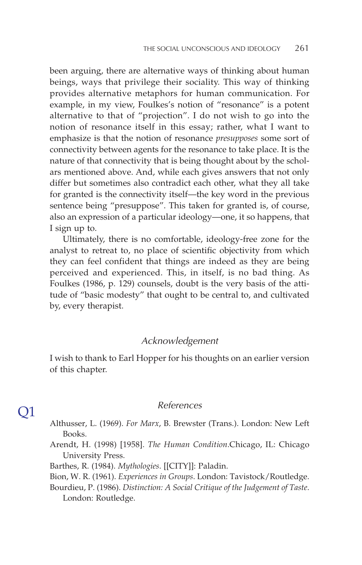been arguing, there are alternative ways of thinking about human beings, ways that privilege their sociality. This way of thinking provides alternative metaphors for human communication. For example, in my view, Foulkes's notion of "resonance" is a potent alternative to that of "projection". I do not wish to go into the notion of resonance itself in this essay; rather, what I want to emphasize is that the notion of resonance *presupposes* some sort of connectivity between agents for the resonance to take place. It is the nature of that connectivity that is being thought about by the scholars mentioned above. And, while each gives answers that not only differ but sometimes also contradict each other, what they all take for granted is the connectivity itself—the key word in the previous sentence being "presuppose". This taken for granted is, of course, also an expression of a particular ideology—one, it so happens, that I sign up to.

Ultimately, there is no comfortable, ideology-free zone for the analyst to retreat to, no place of scientific objectivity from which they can feel confident that things are indeed as they are being perceived and experienced. This, in itself, is no bad thing. As Foulkes (1986, p. 129) counsels, doubt is the very basis of the attitude of "basic modesty" that ought to be central to, and cultivated by, every therapist.

#### *Acknowledgement*

I wish to thank to Earl Hopper for his thoughts on an earlier version of this chapter.

#### *References*

- Althusser, L. (1969). *For Marx*, B. Brewster (Trans.). London: New Left Books.
- Arendt, H. (1998) [1958]. *The Human Condition*.Chicago, IL: Chicago University Press.
- Barthes, R. (1984). *Mythologies*. [[CITY]]: Paladin.
- Bion, W. R. (1961). *Experiences in Groups*. London: Tavistock/Routledge.
- Bourdieu, P. (1986). *Distinction: A Social Critique of the Judgement of Taste*. London: Routledge.

## $\mathcal{Q}1$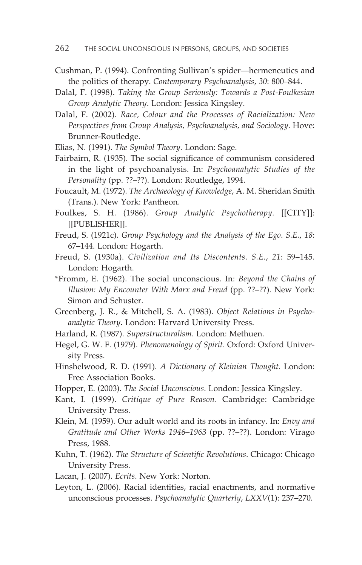- Cushman, P. (1994). Confronting Sullivan's spider—hermeneutics and the politics of therapy. *Contemporary Psychoanalysis*, *30*: 800–844.
- Dalal, F. (1998). *Taking the Group Seriously: Towards a Post-Foulkesian Group Analytic Theory*. London: Jessica Kingsley.
- Dalal, F. (2002). *Race, Colour and the Processes of Racialization: New Perspectives from Group Analysis, Psychoanalysis, and Sociology*. Hove: Brunner-Routledge.
- Elias, N. (1991). *The Symbol Theory*. London: Sage.
- Fairbairn, R. (1935). The social significance of communism considered in the light of psychoanalysis. In: *Psychoanalytic Studies of the Personality* (pp. ??–??). London: Routledge, 1994.
- Foucault, M. (1972). *The Archaeology of Knowledge*, A. M. Sheridan Smith (Trans.). New York: Pantheon.
- Foulkes, S. H. (1986). *Group Analytic Psychotherapy*. [[CITY]]: [[PUBLISHER]].
- Freud, S. (1921c). *Group Psychology and the Analysis of the Ego*. *S.E.*, *18*: 67–144. London: Hogarth.
- Freud, S. (1930a). *Civilization and Its Discontents*. *S.E.*, *21*: 59–145. London: Hogarth.
- \*Fromm, E. (1962). The social unconscious. In: *Beyond the Chains of Illusion: My Encounter With Marx and Freud* (pp. ??–??). New York: Simon and Schuster.
- Greenberg, J. R., & Mitchell, S. A. (1983). *Object Relations in Psychoanalytic Theory*. London: Harvard University Press.
- Harland, R. (1987). *Superstructuralism*. London: Methuen.
- Hegel, G. W. F. (1979). *Phenomenology of Spirit*. Oxford: Oxford University Press.
- Hinshelwood, R. D. (1991). *A Dictionary of Kleinian Thought*. London: Free Association Books.
- Hopper, E. (2003). *The Social Unconscious*. London: Jessica Kingsley.
- Kant, I. (1999). *Critique of Pure Reason*. Cambridge: Cambridge University Press.
- Klein, M. (1959). Our adult world and its roots in infancy. In: *Envy and Gratitude and Other Works 1946–1963* (pp. ??–??). London: Virago Press, 1988.
- Kuhn, T. (1962). *The Structure of Scientific Revolutions*. Chicago: Chicago University Press.
- Lacan, J. (2007). *Ecrits*. New York: Norton.
- Leyton, L. (2006). Racial identities, racial enactments, and normative unconscious processes. *Psychoanalytic Quarterly*, *LXXV*(1): 237–270.